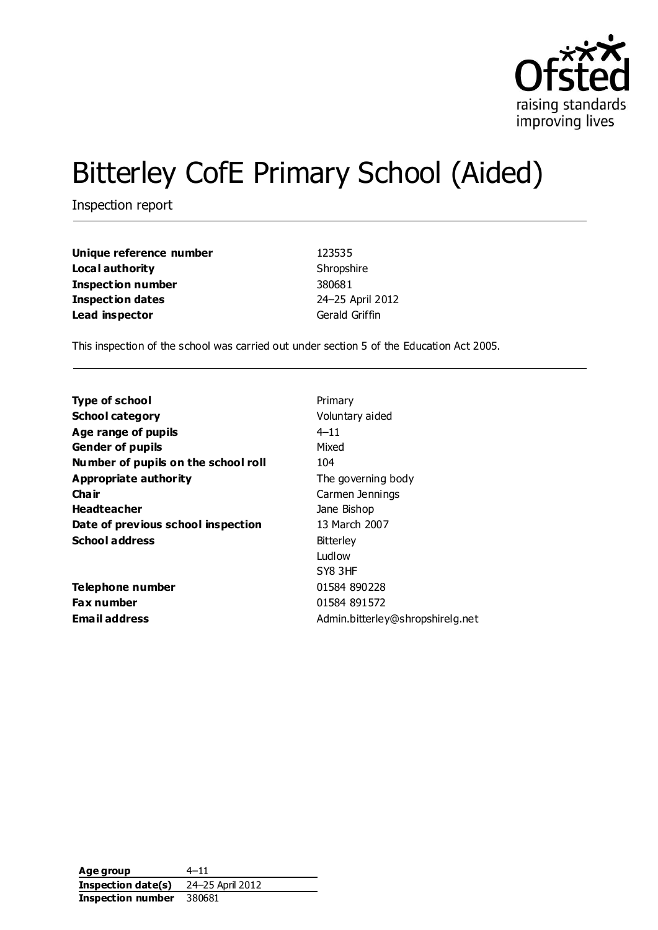

# Bitterley CofE Primary School (Aided)

Inspection report

| Unique reference number | 123535           |
|-------------------------|------------------|
| Local authority         | Shropshire       |
| Inspection number       | 380681           |
| <b>Inspection dates</b> | 24-25 April 2012 |
| Lead inspector          | Gerald Griffin   |

This inspection of the school was carried out under section 5 of the Education Act 2005.

| Primary                          |
|----------------------------------|
| Voluntary aided                  |
| $4 - 11$                         |
| Mixed                            |
| 104                              |
| The governing body               |
| Carmen Jennings                  |
| Jane Bishop                      |
| 13 March 2007                    |
| <b>Bitterley</b>                 |
| Ludlow                           |
| SY8 3HF                          |
| 01584 890228                     |
| 01584 891572                     |
| Admin.bitterley@shropshirelg.net |
|                                  |

**Age group** 4–11 **Inspection date(s)** 24–25 April 2012 **Inspection number** 380681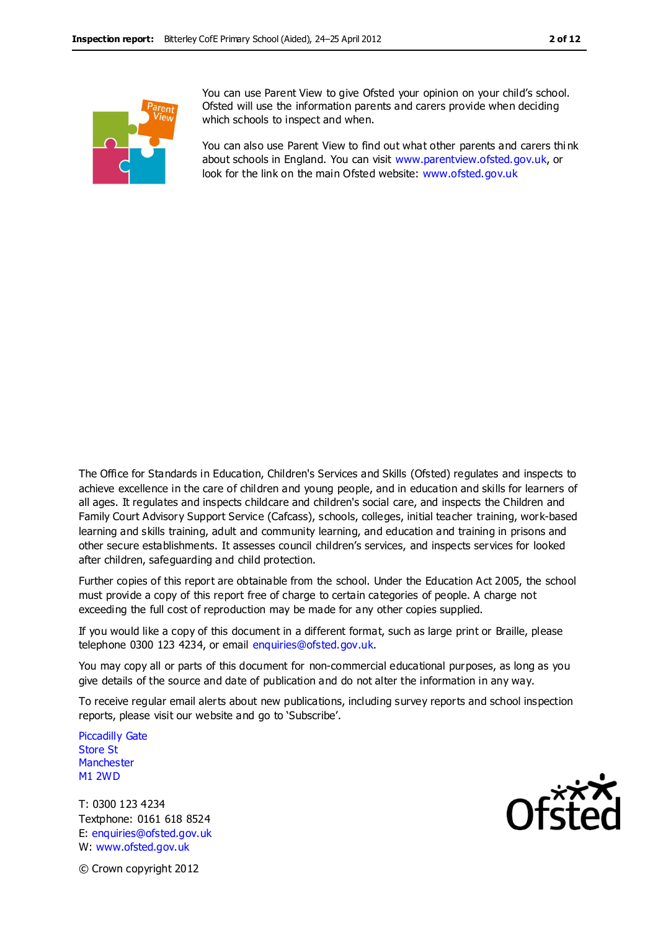

You can use Parent View to give Ofsted your opinion on your child's school. Ofsted will use the information parents and carers provide when deciding which schools to inspect and when.

You can also use Parent View to find out what other parents and carers thi nk about schools in England. You can visit [www.parentview.ofsted.gov.uk,](http://www.parentview.ofsted.gov.uk/) or look for the link on the main Ofsted website: [www.ofsted.gov.uk](http://www.ofsted.gov.uk/)

The Office for Standards in Education, Children's Services and Skills (Ofsted) regulates and inspects to achieve excellence in the care of children and young people, and in education and skills for learners of all ages. It regulates and inspects childcare and children's social care, and inspects the Children and Family Court Advisory Support Service (Cafcass), schools, colleges, initial teacher training, work-based learning and skills training, adult and community learning, and education and training in prisons and other secure establishments. It assesses council children's services, and inspects services for looked after children, safeguarding and child protection.

Further copies of this report are obtainable from the school. Under the Education Act 2005, the school must provide a copy of this report free of charge to certain categories of people. A charge not exceeding the full cost of reproduction may be made for any other copies supplied.

If you would like a copy of this document in a different format, such as large print or Braille, please telephone 0300 123 4234, or email enquiries@ofsted.gov.uk.

You may copy all or parts of this document for non-commercial educational purposes, as long as you give details of the source and date of publication and do not alter the information in any way.

To receive regular email alerts about new publications, including survey reports and school inspection reports, please visit our website and go to 'Subscribe'.

Piccadilly Gate Store St **Manchester** M1 2WD

T: 0300 123 4234 Textphone: 0161 618 8524 E: enquiries@ofsted.gov.uk W: www.ofsted.gov.uk



© Crown copyright 2012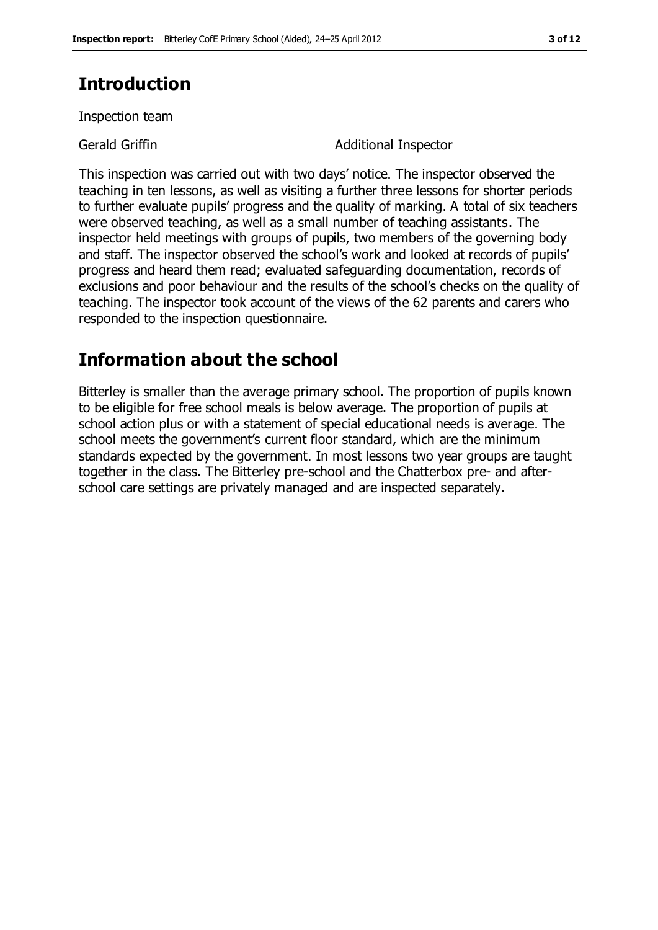# **Introduction**

Inspection team

Gerald Griffin **Additional Inspector** 

This inspection was carried out with two days' notice. The inspector observed the teaching in ten lessons, as well as visiting a further three lessons for shorter periods to further evaluate pupils' progress and the quality of marking. A total of six teachers were observed teaching, as well as a small number of teaching assistants. The inspector held meetings with groups of pupils, two members of the governing body and staff. The inspector observed the school's work and looked at records of pupils' progress and heard them read; evaluated safeguarding documentation, records of exclusions and poor behaviour and the results of the school's checks on the quality of teaching. The inspector took account of the views of the 62 parents and carers who responded to the inspection questionnaire.

# **Information about the school**

Bitterley is smaller than the average primary school. The proportion of pupils known to be eligible for free school meals is below average. The proportion of pupils at school action plus or with a statement of special educational needs is average. The school meets the government's current floor standard, which are the minimum standards expected by the government. In most lessons two year groups are taught together in the class. The Bitterley pre-school and the Chatterbox pre- and afterschool care settings are privately managed and are inspected separately.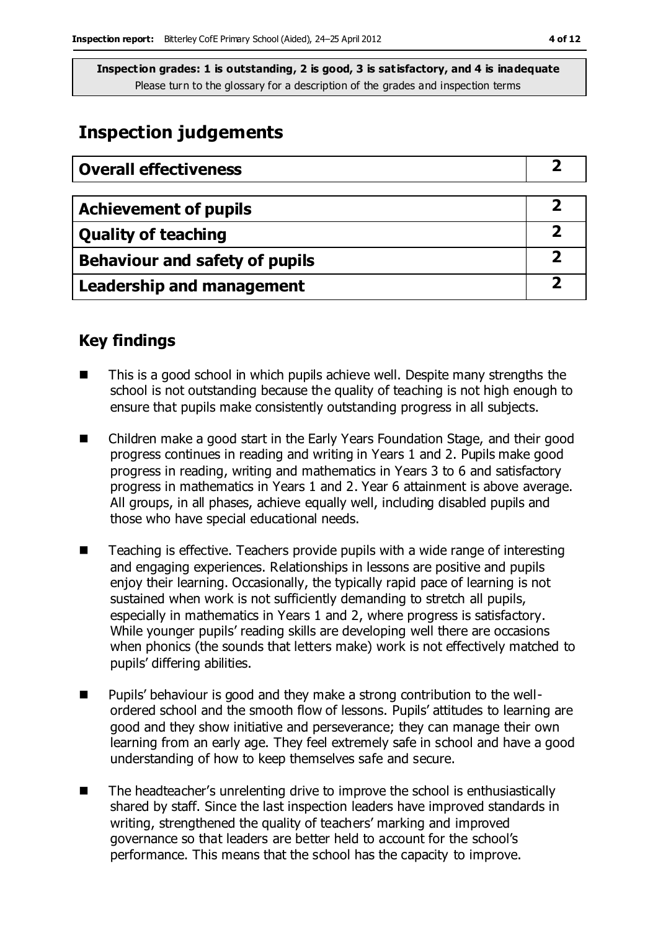# **Inspection judgements**

| <b>Overall effectiveness</b>     |  |
|----------------------------------|--|
|                                  |  |
| <b>Achievement of pupils</b>     |  |
| <b>Quality of teaching</b>       |  |
| Behaviour and safety of pupils   |  |
| <b>Leadership and management</b> |  |

## **Key findings**

- This is a good school in which pupils achieve well. Despite many strengths the school is not outstanding because the quality of teaching is not high enough to ensure that pupils make consistently outstanding progress in all subjects.
- Children make a good start in the Early Years Foundation Stage, and their good progress continues in reading and writing in Years 1 and 2. Pupils make good progress in reading, writing and mathematics in Years 3 to 6 and satisfactory progress in mathematics in Years 1 and 2. Year 6 attainment is above average. All groups, in all phases, achieve equally well, including disabled pupils and those who have special educational needs.
- $\blacksquare$  Teaching is effective. Teachers provide pupils with a wide range of interesting and engaging experiences. Relationships in lessons are positive and pupils enjoy their learning. Occasionally, the typically rapid pace of learning is not sustained when work is not sufficiently demanding to stretch all pupils, especially in mathematics in Years 1 and 2, where progress is satisfactory. While younger pupils' reading skills are developing well there are occasions when phonics (the sounds that letters make) work is not effectively matched to pupils' differing abilities.
- Pupils' behaviour is good and they make a strong contribution to the wellordered school and the smooth flow of lessons. Pupils' attitudes to learning are good and they show initiative and perseverance; they can manage their own learning from an early age. They feel extremely safe in school and have a good understanding of how to keep themselves safe and secure.
- $\blacksquare$  The headteacher's unrelenting drive to improve the school is enthusiastically shared by staff. Since the last inspection leaders have improved standards in writing, strengthened the quality of teachers' marking and improved governance so that leaders are better held to account for the school's performance. This means that the school has the capacity to improve.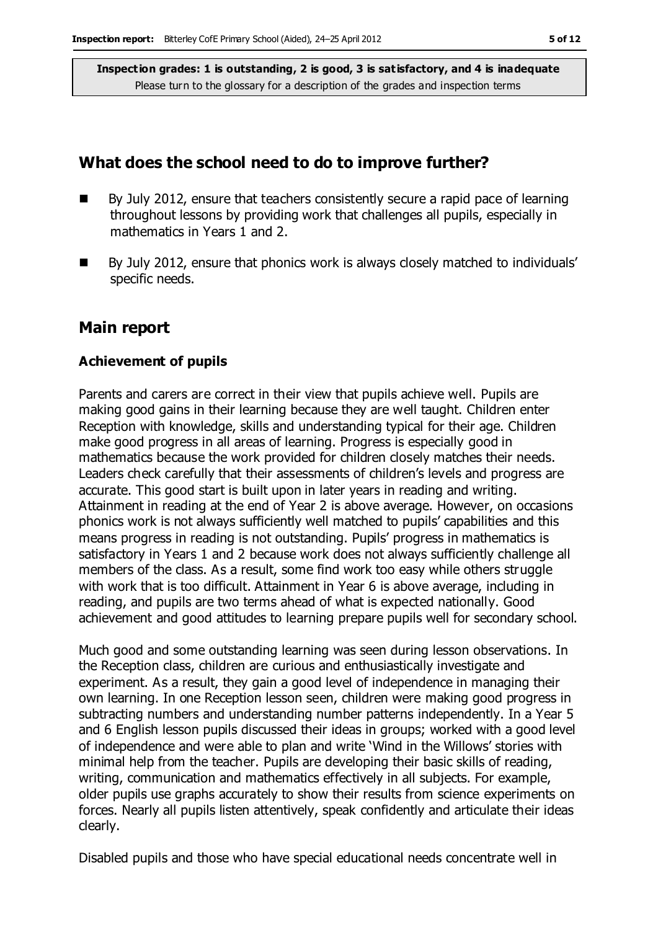### **What does the school need to do to improve further?**

- By July 2012, ensure that teachers consistently secure a rapid pace of learning throughout lessons by providing work that challenges all pupils, especially in mathematics in Years 1 and 2.
- By July 2012, ensure that phonics work is always closely matched to individuals' specific needs.

### **Main report**

#### **Achievement of pupils**

Parents and carers are correct in their view that pupils achieve well. Pupils are making good gains in their learning because they are well taught. Children enter Reception with knowledge, skills and understanding typical for their age. Children make good progress in all areas of learning. Progress is especially good in mathematics because the work provided for children closely matches their needs. Leaders check carefully that their assessments of children's levels and progress are accurate. This good start is built upon in later years in reading and writing. Attainment in reading at the end of Year 2 is above average. However, on occasions phonics work is not always sufficiently well matched to pupils' capabilities and this means progress in reading is not outstanding. Pupils' progress in mathematics is satisfactory in Years 1 and 2 because work does not always sufficiently challenge all members of the class. As a result, some find work too easy while others struggle with work that is too difficult. Attainment in Year 6 is above average, including in reading, and pupils are two terms ahead of what is expected nationally. Good achievement and good attitudes to learning prepare pupils well for secondary school.

Much good and some outstanding learning was seen during lesson observations. In the Reception class, children are curious and enthusiastically investigate and experiment. As a result, they gain a good level of independence in managing their own learning. In one Reception lesson seen, children were making good progress in subtracting numbers and understanding number patterns independently. In a Year 5 and 6 English lesson pupils discussed their ideas in groups; worked with a good level of independence and were able to plan and write 'Wind in the Willows' stories with minimal help from the teacher. Pupils are developing their basic skills of reading, writing, communication and mathematics effectively in all subjects. For example, older pupils use graphs accurately to show their results from science experiments on forces. Nearly all pupils listen attentively, speak confidently and articulate their ideas clearly.

Disabled pupils and those who have special educational needs concentrate well in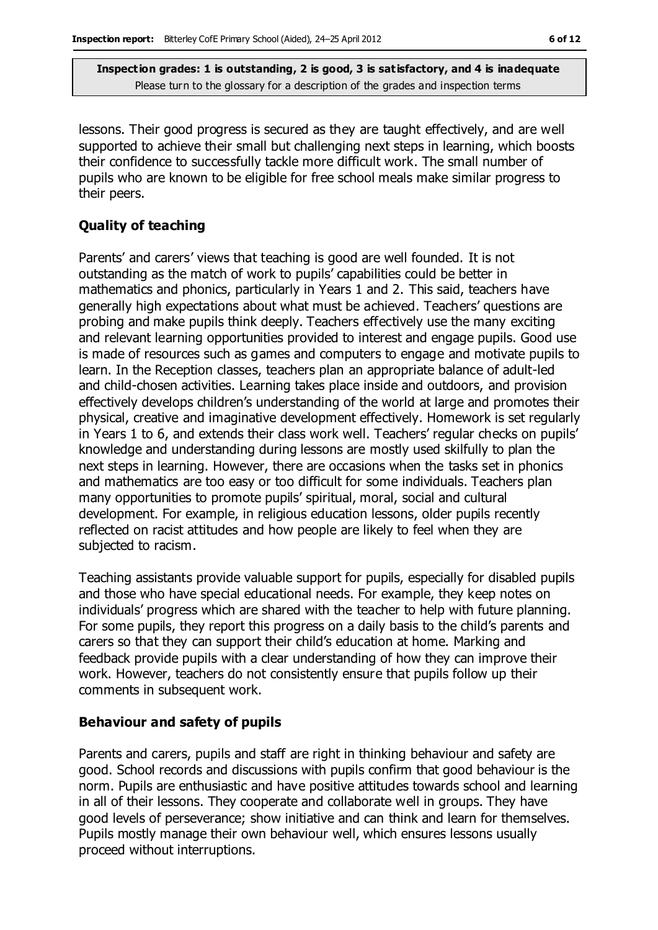lessons. Their good progress is secured as they are taught effectively, and are well supported to achieve their small but challenging next steps in learning, which boosts their confidence to successfully tackle more difficult work. The small number of pupils who are known to be eligible for free school meals make similar progress to their peers.

### **Quality of teaching**

Parents' and carers' views that teaching is good are well founded. It is not outstanding as the match of work to pupils' capabilities could be better in mathematics and phonics, particularly in Years 1 and 2. This said, teachers have generally high expectations about what must be achieved. Teachers' questions are probing and make pupils think deeply. Teachers effectively use the many exciting and relevant learning opportunities provided to interest and engage pupils. Good use is made of resources such as games and computers to engage and motivate pupils to learn. In the Reception classes, teachers plan an appropriate balance of adult-led and child-chosen activities. Learning takes place inside and outdoors, and provision effectively develops children's understanding of the world at large and promotes their physical, creative and imaginative development effectively. Homework is set regularly in Years 1 to 6, and extends their class work well. Teachers' regular checks on pupils' knowledge and understanding during lessons are mostly used skilfully to plan the next steps in learning. However, there are occasions when the tasks set in phonics and mathematics are too easy or too difficult for some individuals. Teachers plan many opportunities to promote pupils' spiritual, moral, social and cultural development. For example, in religious education lessons, older pupils recently reflected on racist attitudes and how people are likely to feel when they are subjected to racism.

Teaching assistants provide valuable support for pupils, especially for disabled pupils and those who have special educational needs. For example, they keep notes on individuals' progress which are shared with the teacher to help with future planning. For some pupils, they report this progress on a daily basis to the child's parents and carers so that they can support their child's education at home. Marking and feedback provide pupils with a clear understanding of how they can improve their work. However, teachers do not consistently ensure that pupils follow up their comments in subsequent work.

#### **Behaviour and safety of pupils**

Parents and carers, pupils and staff are right in thinking behaviour and safety are good. School records and discussions with pupils confirm that good behaviour is the norm. Pupils are enthusiastic and have positive attitudes towards school and learning in all of their lessons. They cooperate and collaborate well in groups. They have good levels of perseverance; show initiative and can think and learn for themselves. Pupils mostly manage their own behaviour well, which ensures lessons usually proceed without interruptions.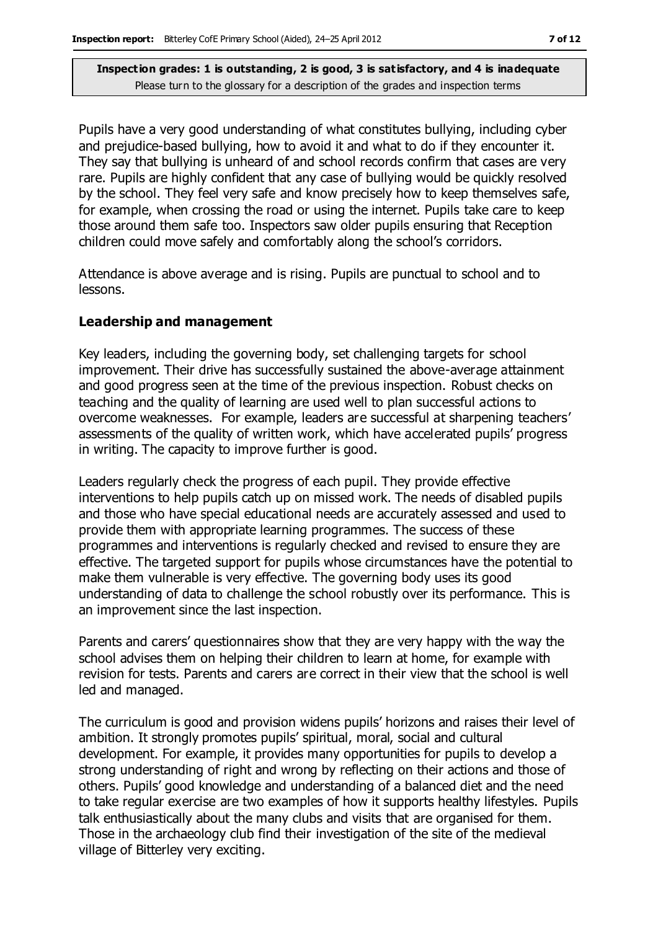Pupils have a very good understanding of what constitutes bullying, including cyber and prejudice-based bullying, how to avoid it and what to do if they encounter it. They say that bullying is unheard of and school records confirm that cases are very rare. Pupils are highly confident that any case of bullying would be quickly resolved by the school. They feel very safe and know precisely how to keep themselves safe, for example, when crossing the road or using the internet. Pupils take care to keep those around them safe too. Inspectors saw older pupils ensuring that Reception children could move safely and comfortably along the school's corridors.

Attendance is above average and is rising. Pupils are punctual to school and to lessons.

#### **Leadership and management**

Key leaders, including the governing body, set challenging targets for school improvement. Their drive has successfully sustained the above-average attainment and good progress seen at the time of the previous inspection. Robust checks on teaching and the quality of learning are used well to plan successful actions to overcome weaknesses. For example, leaders are successful at sharpening teachers' assessments of the quality of written work, which have accelerated pupils' progress in writing. The capacity to improve further is good.

Leaders regularly check the progress of each pupil. They provide effective interventions to help pupils catch up on missed work. The needs of disabled pupils and those who have special educational needs are accurately assessed and used to provide them with appropriate learning programmes. The success of these programmes and interventions is regularly checked and revised to ensure they are effective. The targeted support for pupils whose circumstances have the potential to make them vulnerable is very effective. The governing body uses its good understanding of data to challenge the school robustly over its performance. This is an improvement since the last inspection.

Parents and carers' questionnaires show that they are very happy with the way the school advises them on helping their children to learn at home, for example with revision for tests. Parents and carers are correct in their view that the school is well led and managed.

The curriculum is good and provision widens pupils' horizons and raises their level of ambition. It strongly promotes pupils' spiritual, moral, social and cultural development. For example, it provides many opportunities for pupils to develop a strong understanding of right and wrong by reflecting on their actions and those of others. Pupils' good knowledge and understanding of a balanced diet and the need to take regular exercise are two examples of how it supports healthy lifestyles. Pupils talk enthusiastically about the many clubs and visits that are organised for them. Those in the archaeology club find their investigation of the site of the medieval village of Bitterley very exciting.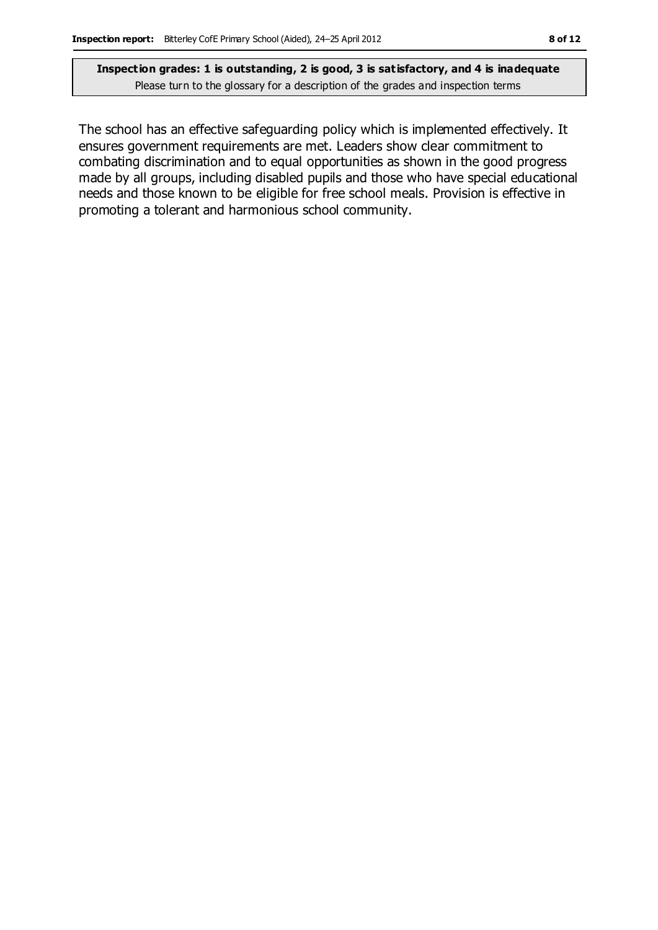The school has an effective safeguarding policy which is implemented effectively. It ensures government requirements are met. Leaders show clear commitment to combating discrimination and to equal opportunities as shown in the good progress made by all groups, including disabled pupils and those who have special educational needs and those known to be eligible for free school meals. Provision is effective in promoting a tolerant and harmonious school community.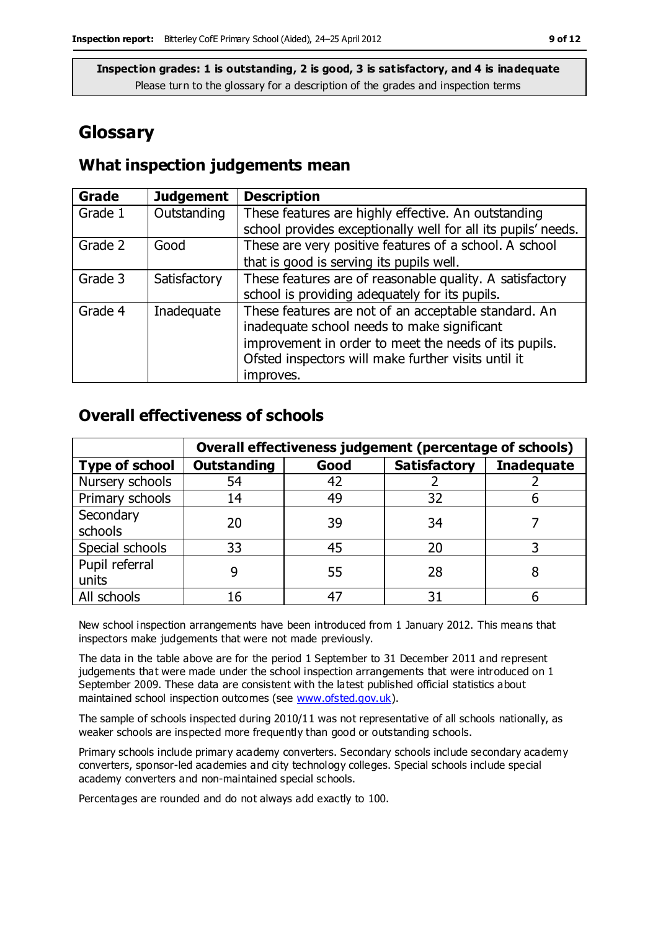## **Glossary**

### **What inspection judgements mean**

| <b>Grade</b> | <b>Judgement</b> | <b>Description</b>                                            |
|--------------|------------------|---------------------------------------------------------------|
| Grade 1      | Outstanding      | These features are highly effective. An outstanding           |
|              |                  | school provides exceptionally well for all its pupils' needs. |
| Grade 2      | Good             | These are very positive features of a school. A school        |
|              |                  | that is good is serving its pupils well.                      |
| Grade 3      | Satisfactory     | These features are of reasonable quality. A satisfactory      |
|              |                  | school is providing adequately for its pupils.                |
| Grade 4      | Inadequate       | These features are not of an acceptable standard. An          |
|              |                  | inadequate school needs to make significant                   |
|              |                  | improvement in order to meet the needs of its pupils.         |
|              |                  | Ofsted inspectors will make further visits until it           |
|              |                  | improves.                                                     |

### **Overall effectiveness of schools**

|                       | Overall effectiveness judgement (percentage of schools) |      |                     |                   |
|-----------------------|---------------------------------------------------------|------|---------------------|-------------------|
| <b>Type of school</b> | <b>Outstanding</b>                                      | Good | <b>Satisfactory</b> | <b>Inadequate</b> |
| Nursery schools       | 54                                                      | 42   |                     |                   |
| Primary schools       | 14                                                      | 49   | 32                  |                   |
| Secondary             | 20                                                      | 39   | 34                  |                   |
| schools               |                                                         |      |                     |                   |
| Special schools       | 33                                                      | 45   | 20                  |                   |
| Pupil referral        | q                                                       | 55   | 28                  |                   |
| units                 |                                                         |      |                     |                   |
| All schools           | 16                                                      | 47   | 31                  |                   |

New school inspection arrangements have been introduced from 1 January 2012. This means that inspectors make judgements that were not made previously.

The data in the table above are for the period 1 September to 31 December 2011 and represent judgements that were made under the school inspection arrangements that were introduced on 1 September 2009. These data are consistent with the latest published official statistics about maintained school inspection outcomes (see [www.ofsted.gov.uk\)](http://www.ofsted.gov.uk/).

The sample of schools inspected during 2010/11 was not representative of all schools nationally, as weaker schools are inspected more frequently than good or outstanding schools.

Primary schools include primary academy converters. Secondary schools include secondary academy converters, sponsor-led academies and city technology colleges. Special schools include special academy converters and non-maintained special schools.

Percentages are rounded and do not always add exactly to 100.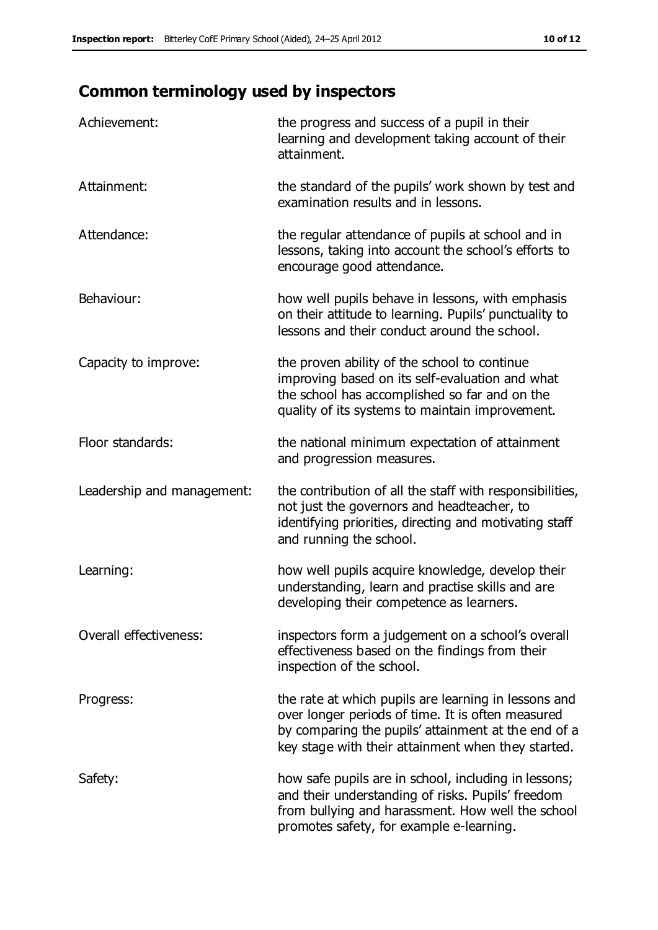# **Common terminology used by inspectors**

| Achievement:               | the progress and success of a pupil in their<br>learning and development taking account of their<br>attainment.                                                                                                        |
|----------------------------|------------------------------------------------------------------------------------------------------------------------------------------------------------------------------------------------------------------------|
| Attainment:                | the standard of the pupils' work shown by test and<br>examination results and in lessons.                                                                                                                              |
| Attendance:                | the regular attendance of pupils at school and in<br>lessons, taking into account the school's efforts to<br>encourage good attendance.                                                                                |
| Behaviour:                 | how well pupils behave in lessons, with emphasis<br>on their attitude to learning. Pupils' punctuality to<br>lessons and their conduct around the school.                                                              |
| Capacity to improve:       | the proven ability of the school to continue<br>improving based on its self-evaluation and what<br>the school has accomplished so far and on the<br>quality of its systems to maintain improvement.                    |
| Floor standards:           | the national minimum expectation of attainment<br>and progression measures.                                                                                                                                            |
| Leadership and management: | the contribution of all the staff with responsibilities,<br>not just the governors and headteacher, to<br>identifying priorities, directing and motivating staff<br>and running the school.                            |
| Learning:                  | how well pupils acquire knowledge, develop their<br>understanding, learn and practise skills and are<br>developing their competence as learners.                                                                       |
| Overall effectiveness:     | inspectors form a judgement on a school's overall<br>effectiveness based on the findings from their<br>inspection of the school.                                                                                       |
| Progress:                  | the rate at which pupils are learning in lessons and<br>over longer periods of time. It is often measured<br>by comparing the pupils' attainment at the end of a<br>key stage with their attainment when they started. |
| Safety:                    | how safe pupils are in school, including in lessons;<br>and their understanding of risks. Pupils' freedom<br>from bullying and harassment. How well the school<br>promotes safety, for example e-learning.             |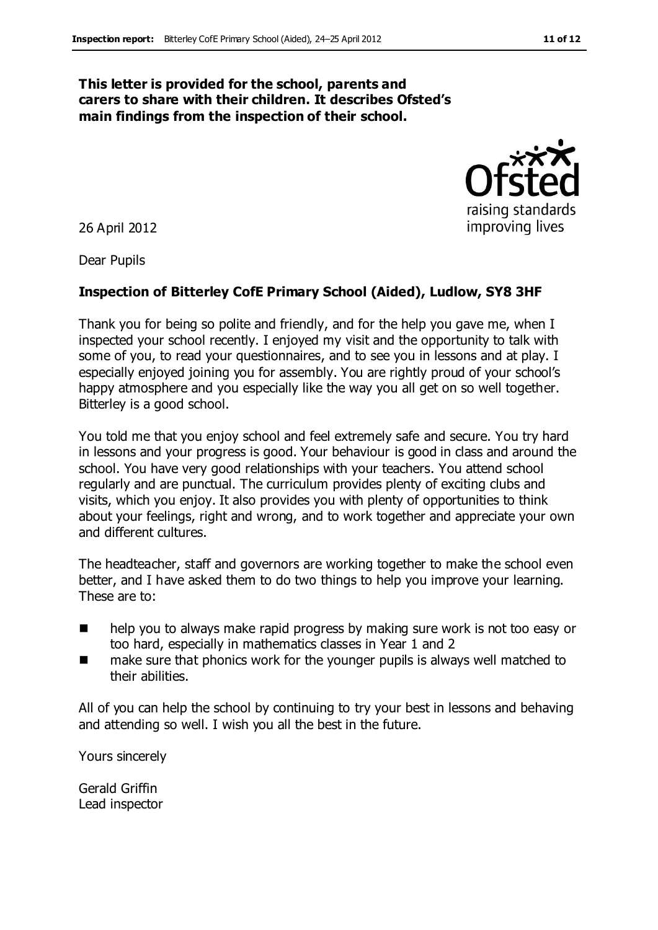#### **This letter is provided for the school, parents and carers to share with their children. It describes Ofsted's main findings from the inspection of their school.**

26 April 2012

Dear Pupils

#### **Inspection of Bitterley CofE Primary School (Aided), Ludlow, SY8 3HF**

Thank you for being so polite and friendly, and for the help you gave me, when I inspected your school recently. I enjoyed my visit and the opportunity to talk with some of you, to read your questionnaires, and to see you in lessons and at play. I especially enjoyed joining you for assembly. You are rightly proud of your school's happy atmosphere and you especially like the way you all get on so well together. Bitterley is a good school.

You told me that you enjoy school and feel extremely safe and secure. You try hard in lessons and your progress is good. Your behaviour is good in class and around the school. You have very good relationships with your teachers. You attend school regularly and are punctual. The curriculum provides plenty of exciting clubs and visits, which you enjoy. It also provides you with plenty of opportunities to think about your feelings, right and wrong, and to work together and appreciate your own and different cultures.

The headteacher, staff and governors are working together to make the school even better, and I have asked them to do two things to help you improve your learning. These are to:

- help you to always make rapid progress by making sure work is not too easy or too hard, especially in mathematics classes in Year 1 and 2
- make sure that phonics work for the younger pupils is always well matched to their abilities.

All of you can help the school by continuing to try your best in lessons and behaving and attending so well. I wish you all the best in the future.

Yours sincerely

Gerald Griffin Lead inspector